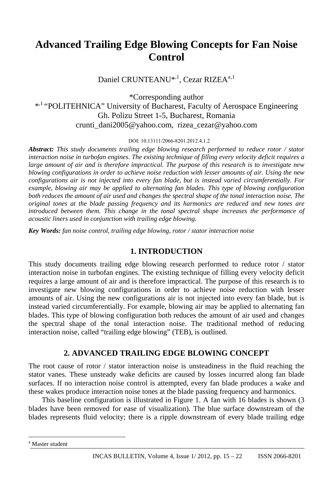# **Advanced Trailing Edge Blowing Concepts for Fan Noise Control**

D[a](#page-0-0)niel CRUNTEANU<sup>\*,1</sup>, Cezar RIZEA<sup>a,1</sup>

\*Corresponding author \*<sup>1</sup> "POLITEHNICA" University of Bucharest, Faculty of Aerospace Engineering Gh. Polizu Street 1-5, Bucharest, Romania crunti\_dani2005@yahoo.com, rizea\_cezar@yahoo.com

DOI: 10.13111/2066-8201.2012.4.1.2

*Abstract: This study documents trailing edge blowing research performed to reduce rotor / stator interaction noise in turbofan engines. The existing technique of filling every velocity deficit requires a large amount of air and is therefore impractical. The purpose of this research is to investigate new blowing configurations in order to achieve noise reduction with lesser amounts of air. Using the new configurations air is not injected into every fan blade, but is instead varied circumferentially. For example, blowing air may be applied to alternating fan blades. This type of blowing configuration both reduces the amount of air used and changes the spectral shape of the tonal interaction noise. The original tones at the blade passing frequency and its harmonics are reduced and new tones are introduced between them. This change in the tonal spectral shape increases the performance of acoustic liners used in conjunction with trailing edge blowing.* 

*Key Words: fan noise control, trailing edge blowing, rotor / stator interaction noise*

### **1. INTRODUCTION**

This study documents trailing edge blowing research performed to reduce rotor / stator interaction noise in turbofan engines. The existing technique of filling every velocity deficit requires a large amount of air and is therefore impractical. The purpose of this research is to investigate new blowing configurations in order to achieve noise reduction with lesser amounts of air. Using the new configurations air is not injected into every fan blade, but is instead varied circumferentially. For example, blowing air may be applied to alternating fan blades. This type of blowing configuration both reduces the amount of air used and changes the spectral shape of the tonal interaction noise. The traditional method of reducing interaction noise, called "trailing edge blowing" (TEB), is outlined.

## **2. ADVANCED TRAILING EDGE BLOWING CONCEPT**

The root cause of rotor / stator interaction noise is unsteadiness in the fluid reaching the stator vanes. These unsteady wake deficits are caused by losses incurred along fan blade surfaces. If no interaction noise control is attempted, every fan blade produces a wake and these wakes produce interaction noise tones at the blade passing frequency and harmonics.

This baseline configuration is illustrated in Figure 1. A fan with 16 blades is shown (3 blades have been removed for ease of visualization). The blue surface downstream of the blades represents fluid velocity; there is a ripple downstream of every blade trailing edge

 $\overline{a}$ 

<span id="page-0-0"></span>a Master student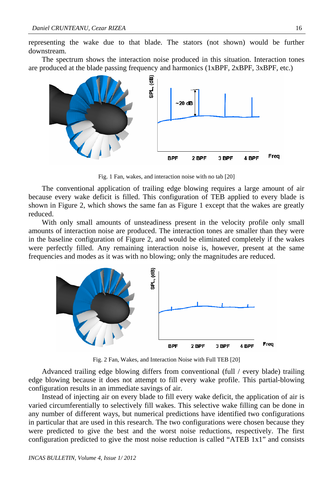representing the wake due to that blade. The stators (not shown) would be further downstream.

The spectrum shows the interaction noise produced in this situation. Interaction tones are produced at the blade passing frequency and harmonics (1xBPF, 2xBPF, 3xBPF, etc.)



Fig. 1 Fan, wakes, and interaction noise with no tab [20]

The conventional application of trailing edge blowing requires a large amount of air because every wake deficit is filled. This configuration of TEB applied to every blade is shown in Figure 2, which shows the same fan as Figure 1 except that the wakes are greatly reduced.

With only small amounts of unsteadiness present in the velocity profile only small amounts of interaction noise are produced. The interaction tones are smaller than they were in the baseline configuration of Figure 2, and would be eliminated completely if the wakes were perfectly filled. Any remaining interaction noise is, however, present at the same frequencies and modes as it was with no blowing; only the magnitudes are reduced.



Fig. 2 Fan, Wakes, and Interaction Noise with Full TEB [20]

Advanced trailing edge blowing differs from conventional (full / every blade) trailing edge blowing because it does not attempt to fill every wake profile. This partial-blowing configuration results in an immediate savings of air.

Instead of injecting air on every blade to fill every wake deficit, the application of air is varied circumferentially to selectively fill wakes. This selective wake filling can be done in any number of different ways, but numerical predictions have identified two configurations in particular that are used in this research. The two configurations were chosen because they were predicted to give the best and the worst noise reductions, respectively. The first configuration predicted to give the most noise reduction is called "ATEB 1x1" and consists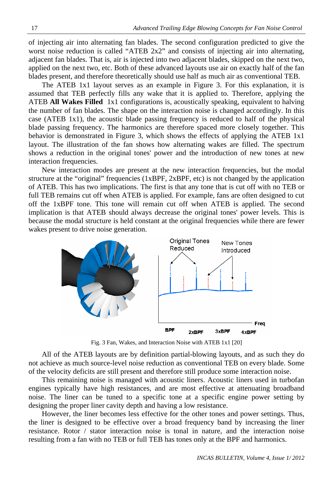of injecting air into alternating fan blades. The second configuration predicted to give the worst noise reduction is called "ATEB 2x2" and consists of injecting air into alternating, adjacent fan blades. That is, air is injected into two adjacent blades, skipped on the next two, applied on the next two, etc. Both of these advanced layouts use air on exactly half of the fan blades present, and therefore theoretically should use half as much air as conventional TEB.

The ATEB 1x1 layout serves as an example in Figure 3. For this explanation, it is assumed that TEB perfectly fills any wake that it is applied to. Therefore, applying the ATEB **All Wakes Filled** 1x1 configurations is, acoustically speaking, equivalent to halving the number of fan blades. The shape on the interaction noise is changed accordingly. In this case (ATEB 1x1), the acoustic blade passing frequency is reduced to half of the physical blade passing frequency. The harmonics are therefore spaced more closely together. This behavior is demonstrated in Figure 3, which shows the effects of applying the ATEB 1x1 layout. The illustration of the fan shows how alternating wakes are filled. The spectrum shows a reduction in the original tones' power and the introduction of new tones at new interaction frequencies.

New interaction modes are present at the new interaction frequencies, but the modal structure at the "original" frequencies (1xBPF, 2xBPF, etc) is not changed by the application of ATEB. This has two implications. The first is that any tone that is cut off with no TEB or full TEB remains cut off when ATEB is applied. For example, fans are often designed to cut off the 1xBPF tone. This tone will remain cut off when ATEB is applied. The second implication is that ATEB should always decrease the original tones' power levels. This is because the modal structure is held constant at the original frequencies while there are fewer wakes present to drive noise generation.



Fig. 3 Fan, Wakes, and Interaction Noise with ATEB 1x1 [20]

All of the ATEB layouts are by definition partial-blowing layouts, and as such they do not achieve as much source-level noise reduction as conventional TEB on every blade. Some of the velocity deficits are still present and therefore still produce some interaction noise.

This remaining noise is managed with acoustic liners. Acoustic liners used in turbofan engines typically have high resistances, and are most effective at attenuating broadband noise. The liner can be tuned to a specific tone at a specific engine power setting by designing the proper liner cavity depth and having a low resistance.

However, the liner becomes less effective for the other tones and power settings. Thus, the liner is designed to be effective over a broad frequency band by increasing the liner resistance. Rotor / stator interaction noise is tonal in nature, and the interaction noise resulting from a fan with no TEB or full TEB has tones only at the BPF and harmonics.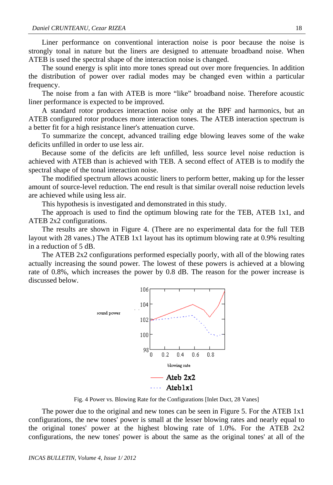Liner performance on conventional interaction noise is poor because the noise is strongly tonal in nature but the liners are designed to attenuate broadband noise. When ATEB is used the spectral shape of the interaction noise is changed.

The sound energy is split into more tones spread out over more frequencies. In addition the distribution of power over radial modes may be changed even within a particular frequency.

The noise from a fan with ATEB is more "like" broadband noise. Therefore acoustic liner performance is expected to be improved.

A standard rotor produces interaction noise only at the BPF and harmonics, but an ATEB configured rotor produces more interaction tones. The ATEB interaction spectrum is a better fit for a high resistance liner's attenuation curve.

To summarize the concept, advanced trailing edge blowing leaves some of the wake deficits unfilled in order to use less air.

Because some of the deficits are left unfilled, less source level noise reduction is achieved with ATEB than is achieved with TEB. A second effect of ATEB is to modify the spectral shape of the tonal interaction noise.

The modified spectrum allows acoustic liners to perform better, making up for the lesser amount of source-level reduction. The end result is that similar overall noise reduction levels are achieved while using less air.

This hypothesis is investigated and demonstrated in this study.

The approach is used to find the optimum blowing rate for the TEB, ATEB 1x1, and ATEB 2x2 configurations.

The results are shown in Figure 4. (There are no experimental data for the full TEB layout with 28 vanes.) The ATEB 1x1 layout has its optimum blowing rate at 0.9% resulting in a reduction of 5 dB.

The ATEB 2x2 configurations performed especially poorly, with all of the blowing rates actually increasing the sound power. The lowest of these powers is achieved at a blowing rate of 0.8%, which increases the power by 0.8 dB. The reason for the power increase is discussed below.



Fig. 4 Power vs. Blowing Rate for the Configurations [Inlet Duct, 28 Vanes]

The power due to the original and new tones can be seen in Figure 5. For the ATEB 1x1 configurations, the new tones' power is small at the lesser blowing rates and nearly equal to the original tones' power at the highest blowing rate of 1.0%. For the ATEB 2x2 configurations, the new tones' power is about the same as the original tones' at all of the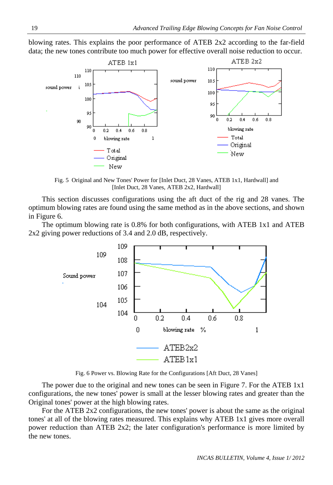blowing rates. This explains the poor performance of ATEB 2x2 according to the far-field data; the new tones contribute too much power for effective overall noise reduction to occur.



Fig. 5 Original and New Tones' Power for [Inlet Duct, 28 Vanes, ATEB 1x1, Hardwall] and [Inlet Duct, 28 Vanes, ATEB 2x2, Hardwall]

This section discusses configurations using the aft duct of the rig and 28 vanes. The optimum blowing rates are found using the same method as in the above sections, and shown in Figure 6.

The optimum blowing rate is 0.8% for both configurations, with ATEB 1x1 and ATEB 2x2 giving power reductions of 3.4 and 2.0 dB, respectively.



Fig. 6 Power vs. Blowing Rate for the Configurations [Aft Duct, 28 Vanes]

The power due to the original and new tones can be seen in Figure 7. For the ATEB 1x1 configurations, the new tones' power is small at the lesser blowing rates and greater than the Original tones' power at the high blowing rates.

For the ATEB 2x2 configurations, the new tones' power is about the same as the original tones' at all of the blowing rates measured. This explains why ATEB 1x1 gives more overall power reduction than ATEB 2x2; the later configuration's performance is more limited by the new tones.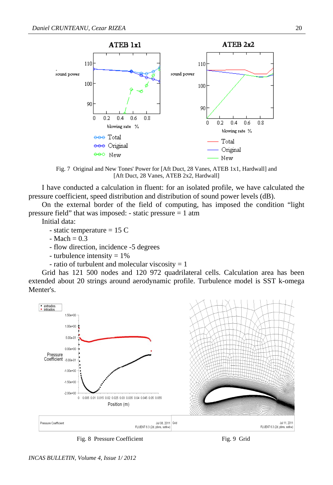

Fig. 7 Original and New Tones' Power for [Aft Duct, 28 Vanes, ATEB 1x1, Hardwall] and [Aft Duct, 28 Vanes, ATEB 2x2, Hardwall]

I have conducted a calculation in fluent: for an isolated profile, we have calculated the pressure coefficient, speed distribution and distribution of sound power levels (dB).

On the external border of the field of computing, has imposed the condition "light pressure field" that was imposed: - static pressure  $= 1$  atm

Initial data:

- static temperature = 15 C
- $-Mach = 0.3$
- flow direction, incidence -5 degrees
- turbulence intensity  $= 1\%$
- ratio of turbulent and molecular viscosity  $= 1$

Grid has 121 500 nodes and 120 972 quadrilateral cells. Calculation area has been extended about 20 strings around aerodynamic profile. Turbulence model is SST k-omega Menter's.



Fig. 8 Pressure Coefficient Fig. 9 Grid



*INCAS BULLETIN, Volume 4, Issue 1/ 2012*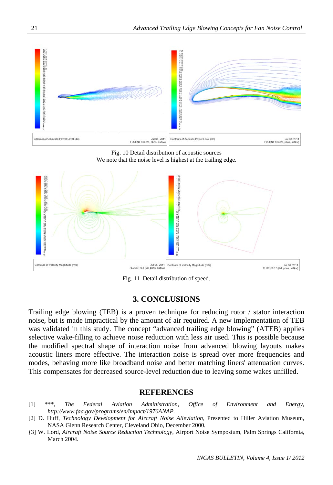

Fig. 10 Detail distribution of acoustic sources We note that the noise level is highest at the trailing edge.



Fig. 11 Detail distribution of speed.

### **3. CONCLUSIONS**

Trailing edge blowing (TEB) is a proven technique for reducing rotor / stator interaction noise, but is made impractical by the amount of air required. A new implementation of TEB was validated in this study. The concept "advanced trailing edge blowing" (ATEB) applies selective wake-filling to achieve noise reduction with less air used. This is possible because the modified spectral shape of interaction noise from advanced blowing layouts makes acoustic liners more effective. The interaction noise is spread over more frequencies and modes, behaving more like broadband noise and better matching liners' attenuation curves. This compensates for decreased source-level reduction due to leaving some wakes unfilled.

#### **REFERENCES**

- [1] \*\*\*, *The Federal Aviation Administration, Office of Environment and Energy, http://www.faa.gov/programs/en/impact/1976ANAP.*
- [2] D. Huff, *Technology Development for Aircraft Noise Alleviation,* Presented to Hiller Aviation Museum*,*  NASA Glenn Research Center, Cleveland Ohio, December 2000*.*
- *[*3] W. Lord, *Aircraft Noise Source Reduction Technology,* Airport Noise Symposium, Palm Springs California, March 2004.